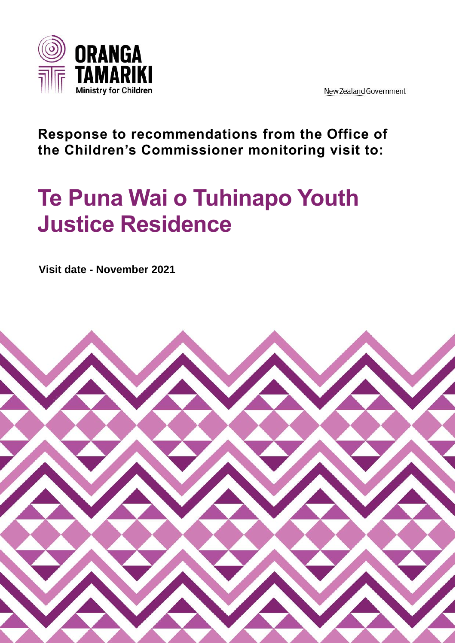

New Zealand Government

## **Response to recommendations from the Office of the Children's Commissioner monitoring visit to:**

## **Te Puna Wai o Tuhinapo Youth Justice Residence**

**Visit date - November 2021**

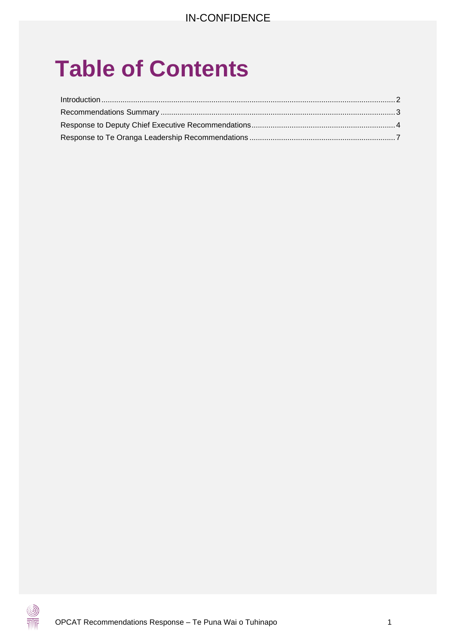# **Table of Contents**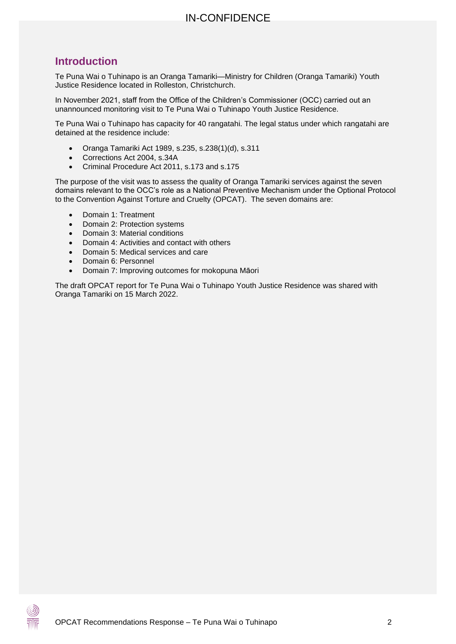## <span id="page-2-0"></span>**Introduction**

Te Puna Wai o Tuhinapo is an Oranga Tamariki—Ministry for Children (Oranga Tamariki) Youth Justice Residence located in Rolleston, Christchurch.

In November 2021, staff from the Office of the Children's Commissioner (OCC) carried out an unannounced monitoring visit to Te Puna Wai o Tuhinapo Youth Justice Residence.

Te Puna Wai o Tuhinapo has capacity for 40 rangatahi. The legal status under which rangatahi are detained at the residence include:

- Oranga Tamariki Act 1989, s.235, s.238(1)(d), s.311
- Corrections Act 2004, s.34A
- Criminal Procedure Act 2011, s.173 and s.175

The purpose of the visit was to assess the quality of Oranga Tamariki services against the seven domains relevant to the OCC's role as a National Preventive Mechanism under the Optional Protocol to the Convention Against Torture and Cruelty (OPCAT). The seven domains are:

- Domain 1: Treatment
- Domain 2: Protection systems
- Domain 3: Material conditions
- Domain 4: Activities and contact with others
- Domain 5: Medical services and care
- Domain 6: Personnel
- Domain 7: Improving outcomes for mokopuna Māori

The draft OPCAT report for Te Puna Wai o Tuhinapo Youth Justice Residence was shared with Oranga Tamariki on 15 March 2022.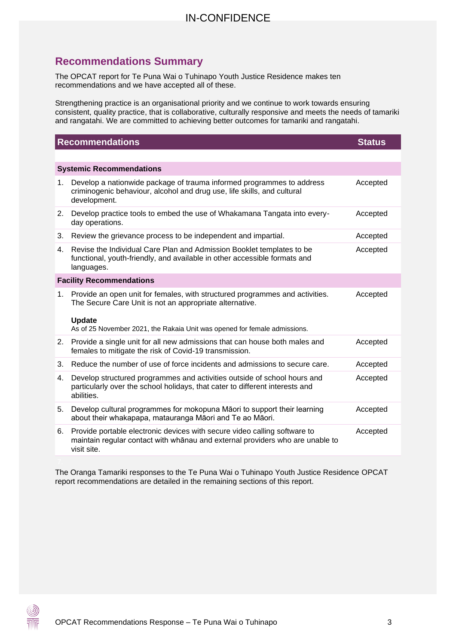## <span id="page-3-0"></span>**Recommendations Summary**

The OPCAT report for Te Puna Wai o Tuhinapo Youth Justice Residence makes ten recommendations and we have accepted all of these.

Strengthening practice is an organisational priority and we continue to work towards ensuring consistent, quality practice, that is collaborative, culturally responsive and meets the needs of tamariki and rangatahi. We are committed to achieving better outcomes for tamariki and rangatahi.

| <b>Recommendations</b>          |                                                                                                                                                                           | <b>Status</b> |  |
|---------------------------------|---------------------------------------------------------------------------------------------------------------------------------------------------------------------------|---------------|--|
|                                 |                                                                                                                                                                           |               |  |
| <b>Systemic Recommendations</b> |                                                                                                                                                                           |               |  |
| 1 <sub>1</sub>                  | Develop a nationwide package of trauma informed programmes to address<br>criminogenic behaviour, alcohol and drug use, life skills, and cultural<br>development.          | Accepted      |  |
| 2.                              | Develop practice tools to embed the use of Whakamana Tangata into every-<br>day operations.                                                                               | Accepted      |  |
| 3.                              | Review the grievance process to be independent and impartial.                                                                                                             | Accepted      |  |
| 4.                              | Revise the Individual Care Plan and Admission Booklet templates to be<br>functional, youth-friendly, and available in other accessible formats and<br>languages.          | Accepted      |  |
| <b>Facility Recommendations</b> |                                                                                                                                                                           |               |  |
| 1.                              | Provide an open unit for females, with structured programmes and activities.<br>The Secure Care Unit is not an appropriate alternative.                                   | Accepted      |  |
|                                 | <b>Update</b><br>As of 25 November 2021, the Rakaia Unit was opened for female admissions.                                                                                |               |  |
| 2.                              | Provide a single unit for all new admissions that can house both males and<br>females to mitigate the risk of Covid-19 transmission.                                      | Accepted      |  |
| 3.                              | Reduce the number of use of force incidents and admissions to secure care.                                                                                                | Accepted      |  |
| 4.                              | Develop structured programmes and activities outside of school hours and<br>particularly over the school holidays, that cater to different interests and<br>abilities.    | Accepted      |  |
| 5.                              | Develop cultural programmes for mokopuna Māori to support their learning<br>about their whakapapa, matauranga Māori and Te ao Māori.                                      | Accepted      |  |
| 6.                              | Provide portable electronic devices with secure video calling software to<br>maintain regular contact with whānau and external providers who are unable to<br>visit site. | Accepted      |  |

The Oranga Tamariki responses to the Te Puna Wai o Tuhinapo Youth Justice Residence OPCAT report recommendations are detailed in the remaining sections of this report.

 $\circledS$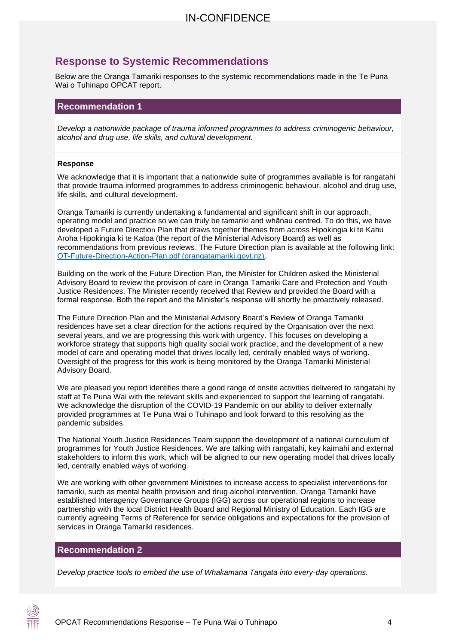## <span id="page-4-0"></span>**Response to Systemic Recommendations**

Below are the Oranga Tamariki responses to the systemic recommendations made in the Te Puna Wai o Tuhinapo OPCAT report.

#### **Recommendation 1**

*Develop a nationwide package of trauma informed programmes to address criminogenic behaviour, alcohol and drug use, life skills, and cultural development.*

#### **Response**

We acknowledge that it is important that a nationwide suite of programmes available is for rangatahi that provide trauma informed programmes to address criminogenic behaviour, alcohol and drug use, life skills, and cultural development.

Oranga Tamariki is currently undertaking a fundamental and significant shift in our approach, operating model and practice so we can truly be tamariki and whānau centred. To do this, we have developed a Future Direction Plan that draws together themes from across Hipokingia ki te Kahu Aroha Hipokingia ki te Katoa (the report of the Ministerial Advisory Board) as well as recommendations from previous reviews. The Future Direction plan is available at the following link: [OT-Future-Direction-Action-Plan.pdf \(orangatamariki.govt.nz\).](https://www.orangatamariki.govt.nz/assets/Uploads/About-us/News/2021/MAB-report-action-plan-release/OT-Future-Direction-Action-Plan.pdf#:~:text=Oranga%20Tamariki%20Future%20Direction%20Action%20Plan%20Oranga%20Tamariki,where%20oranga%20can%20be%20realised.%20Our%20values%203)

Building on the work of the Future Direction Plan, the Minister for Children asked the Ministerial Advisory Board to review the provision of care in Oranga Tamariki Care and Protection and Youth Justice Residences. The Minister recently received that Review and provided the Board with a formal response. Both the report and the Minister's response will shortly be proactively released.

The Future Direction Plan and the Ministerial Advisory Board's Review of Oranga Tamariki residences have set a clear direction for the actions required by the Organisation over the next several years, and we are progressing this work with urgency. This focuses on developing a workforce strategy that supports high quality social work practice, and the development of a new model of care and operating model that drives locally led, centrally enabled ways of working. Oversight of the progress for this work is being monitored by the Oranga Tamariki Ministerial Advisory Board.

We are pleased you report identifies there a good range of onsite activities delivered to rangatahi by staff at Te Puna Wai with the relevant skills and experienced to support the learning of rangatahi. We acknowledge the disruption of the COVID-19 Pandemic on our ability to deliver externally provided programmes at Te Puna Wai o Tuhinapo and look forward to this resolving as the pandemic subsides.

The National Youth Justice Residences Team support the development of a national curriculum of programmes for Youth Justice Residences. We are talking with rangatahi, key kaimahi and external stakeholders to inform this work, which will be aligned to our new operating model that drives locally led, centrally enabled ways of working.

We are working with other government Ministries to increase access to specialist interventions for tamariki, such as mental health provision and drug alcohol intervention. Oranga Tamariki have established Interagency Governance Groups (IGG) across our operational regions to increase partnership with the local District Health Board and Regional Ministry of Education. Each IGG are currently agreeing Terms of Reference for service obligations and expectations for the provision of services in Oranga Tamariki residences.

#### **Recommendation 2**

*Develop practice tools to embed the use of Whakamana Tangata into every-day operations.*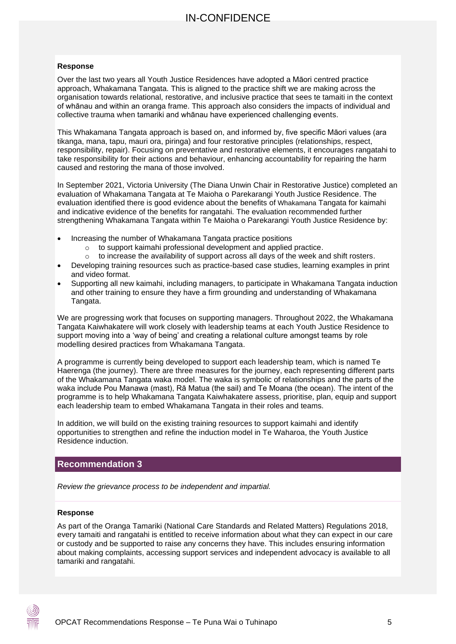#### **Response**

Over the last two years all Youth Justice Residences have adopted a Māori centred practice approach, Whakamana Tangata. This is aligned to the practice shift we are making across the organisation towards relational, restorative, and inclusive practice that sees te tamaiti in the context of whānau and within an oranga frame. This approach also considers the impacts of individual and collective trauma when tamariki and whānau have experienced challenging events.

This Whakamana Tangata approach is based on, and informed by, five specific Māori values (ara tikanga, mana, tapu, mauri ora, piringa) and four restorative principles (relationships, respect, responsibility, repair). Focusing on preventative and restorative elements, it encourages rangatahi to take responsibility for their actions and behaviour, enhancing accountability for repairing the harm caused and restoring the mana of those involved.

In September 2021, Victoria University (The Diana Unwin Chair in Restorative Justice) completed an evaluation of Whakamana Tangata at Te Maioha o Parekarangi Youth Justice Residence. The evaluation identified there is good evidence about the benefits of Whakamana Tangata for kaimahi and indicative evidence of the benefits for rangatahi. The evaluation recommended further strengthening Whakamana Tangata within Te Maioha o Parekarangi Youth Justice Residence by:

- Increasing the number of Whakamana Tangata practice positions
	- o to support kaimahi professional development and applied practice.
	- $\circ$  to increase the availability of support across all days of the week and shift rosters.
- Developing training resources such as practice-based case studies, learning examples in print and video format.
- Supporting all new kaimahi, including managers, to participate in Whakamana Tangata induction and other training to ensure they have a firm grounding and understanding of Whakamana Tangata.

We are progressing work that focuses on supporting managers. Throughout 2022, the Whakamana Tangata Kaiwhakatere will work closely with leadership teams at each Youth Justice Residence to support moving into a 'way of being' and creating a relational culture amongst teams by role modelling desired practices from Whakamana Tangata.

A programme is currently being developed to support each leadership team, which is named Te Haerenga (the journey). There are three measures for the journey, each representing different parts of the Whakamana Tangata waka model. The waka is symbolic of relationships and the parts of the waka include Pou Manawa (mast), Rā Matua (the sail) and Te Moana (the ocean). The intent of the programme is to help Whakamana Tangata Kaiwhakatere assess, prioritise, plan, equip and support each leadership team to embed Whakamana Tangata in their roles and teams.

In addition, we will build on the existing training resources to support kaimahi and identify opportunities to strengthen and refine the induction model in Te Waharoa, the Youth Justice Residence induction.

#### **Recommendation 3**

*Review the grievance process to be independent and impartial.*

#### **Response**

As part of the Oranga Tamariki (National Care Standards and Related Matters) Regulations 2018, every tamaiti and rangatahi is entitled to receive information about what they can expect in our care or custody and be supported to raise any concerns they have. This includes ensuring information about making complaints, accessing support services and independent advocacy is available to all tamariki and rangatahi.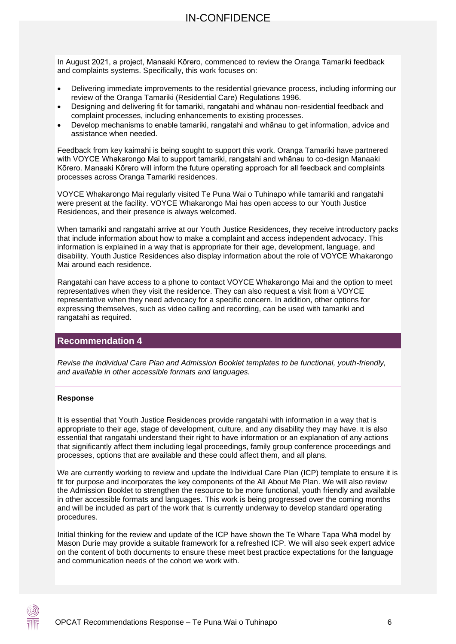In August 2021, a project, Manaaki Kōrero, commenced to review the Oranga Tamariki feedback and complaints systems. Specifically, this work focuses on:

- Delivering immediate improvements to the residential grievance process, including informing our review of the Oranga Tamariki (Residential Care) Regulations 1996.
- Designing and delivering fit for tamariki, rangatahi and whānau non-residential feedback and complaint processes, including enhancements to existing processes.
- Develop mechanisms to enable tamariki, rangatahi and whānau to get information, advice and assistance when needed.

Feedback from key kaimahi is being sought to support this work. Oranga Tamariki have partnered with VOYCE Whakarongo Mai to support tamariki, rangatahi and whānau to co-design Manaaki Kōrero. Manaaki Kōrero will inform the future operating approach for all feedback and complaints processes across Oranga Tamariki residences.

VOYCE Whakarongo Mai regularly visited Te Puna Wai o Tuhinapo while tamariki and rangatahi were present at the facility. VOYCE Whakarongo Mai has open access to our Youth Justice Residences, and their presence is always welcomed.

When tamariki and rangatahi arrive at our Youth Justice Residences, they receive introductory packs that include information about how to make a complaint and access independent advocacy. This information is explained in a way that is appropriate for their age, development, language, and disability. Youth Justice Residences also display information about the role of VOYCE Whakarongo Mai around each residence.

Rangatahi can have access to a phone to contact VOYCE Whakarongo Mai and the option to meet representatives when they visit the residence. They can also request a visit from a VOYCE representative when they need advocacy for a specific concern. In addition, other options for expressing themselves, such as video calling and recording, can be used with tamariki and rangatahi as required.

#### **Recommendation 4**

*Revise the Individual Care Plan and Admission Booklet templates to be functional, youth-friendly, and available in other accessible formats and languages.*

#### **Response**

It is essential that Youth Justice Residences provide rangatahi with information in a way that is appropriate to their age, stage of development, culture, and any disability they may have. It is also essential that rangatahi understand their right to have information or an explanation of any actions that significantly affect them including legal proceedings, family group conference proceedings and processes, options that are available and these could affect them, and all plans.

We are currently working to review and update the Individual Care Plan (ICP) template to ensure it is fit for purpose and incorporates the key components of the All About Me Plan. We will also review the Admission Booklet to strengthen the resource to be more functional, youth friendly and available in other accessible formats and languages. This work is being progressed over the coming months and will be included as part of the work that is currently underway to develop standard operating procedures.

Initial thinking for the review and update of the ICP have shown the Te Whare Tapa Whā model by Mason Durie may provide a suitable framework for a refreshed ICP. We will also seek expert advice on the content of both documents to ensure these meet best practice expectations for the language and communication needs of the cohort we work with.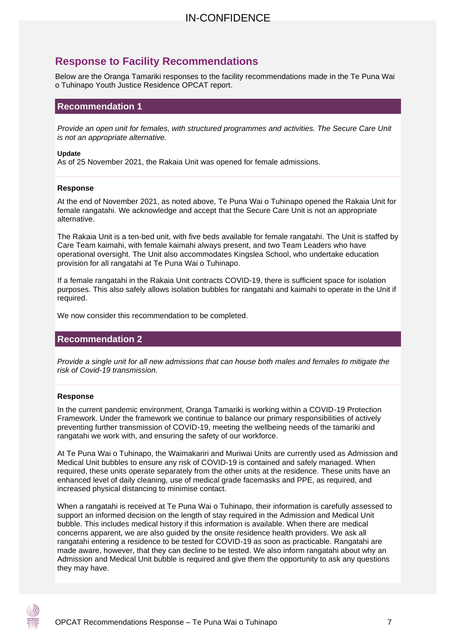## <span id="page-7-0"></span>**Response to Facility Recommendations**

Below are the Oranga Tamariki responses to the facility recommendations made in the Te Puna Wai o Tuhinapo Youth Justice Residence OPCAT report.

#### **Recommendation 1**

*Provide an open unit for females, with structured programmes and activities. The Secure Care Unit is not an appropriate alternative.*

#### **Update**

As of 25 November 2021, the Rakaia Unit was opened for female admissions.

#### **Response**

At the end of November 2021, as noted above, Te Puna Wai o Tuhinapo opened the Rakaia Unit for female rangatahi. We acknowledge and accept that the Secure Care Unit is not an appropriate alternative.

The Rakaia Unit is a ten-bed unit, with five beds available for female rangatahi. The Unit is staffed by Care Team kaimahi, with female kaimahi always present, and two Team Leaders who have operational oversight. The Unit also accommodates Kingslea School, who undertake education provision for all rangatahi at Te Puna Wai o Tuhinapo.

If a female rangatahi in the Rakaia Unit contracts COVID-19, there is sufficient space for isolation purposes. This also safely allows isolation bubbles for rangatahi and kaimahi to operate in the Unit if required.

We now consider this recommendation to be completed.

#### **Recommendation 2**

*Provide a single unit for all new admissions that can house both males and females to mitigate the risk of Covid-19 transmission.* 

#### **Response**

In the current pandemic environment, Oranga Tamariki is working within a COVID-19 Protection Framework. Under the framework we continue to balance our primary responsibilities of actively preventing further transmission of COVID-19, meeting the wellbeing needs of the tamariki and rangatahi we work with, and ensuring the safety of our workforce.

At Te Puna Wai o Tuhinapo, the Waimakariri and Muriwai Units are currently used as Admission and Medical Unit bubbles to ensure any risk of COVID-19 is contained and safely managed. When required, these units operate separately from the other units at the residence. These units have an enhanced level of daily cleaning, use of medical grade facemasks and PPE, as required, and increased physical distancing to minimise contact.

When a rangatahi is received at Te Puna Wai o Tuhinapo, their information is carefully assessed to support an informed decision on the length of stay required in the Admission and Medical Unit bubble. This includes medical history if this information is available. When there are medical concerns apparent, we are also guided by the onsite residence health providers. We ask all rangatahi entering a residence to be tested for COVID-19 as soon as practicable. Rangatahi are made aware, however, that they can decline to be tested. We also inform rangatahi about why an Admission and Medical Unit bubble is required and give them the opportunity to ask any questions they may have.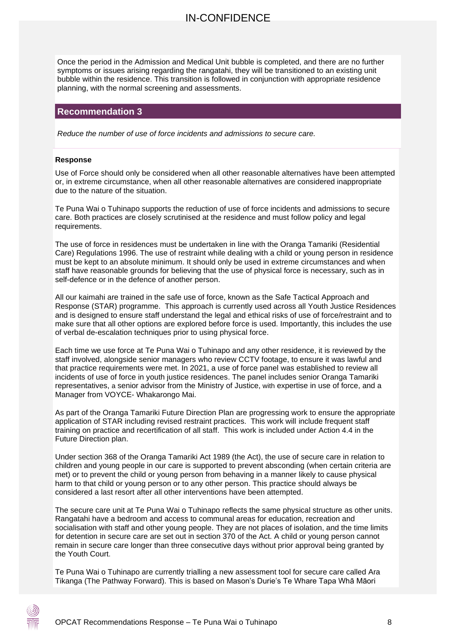Once the period in the Admission and Medical Unit bubble is completed, and there are no further symptoms or issues arising regarding the rangatahi, they will be transitioned to an existing unit bubble within the residence. This transition is followed in conjunction with appropriate residence planning, with the normal screening and assessments.

#### **Recommendation 3**

*Reduce the number of use of force incidents and admissions to secure care.*

#### **Response**

Use of Force should only be considered when all other reasonable alternatives have been attempted or, in extreme circumstance, when all other reasonable alternatives are considered inappropriate due to the nature of the situation.

Te Puna Wai o Tuhinapo supports the reduction of use of force incidents and admissions to secure care. Both practices are closely scrutinised at the residence and must follow policy and legal requirements.

The use of force in residences must be undertaken in line with the Oranga Tamariki (Residential Care) Regulations 1996. The use of restraint while dealing with a child or young person in residence must be kept to an absolute minimum. It should only be used in extreme circumstances and when staff have reasonable grounds for believing that the use of physical force is necessary, such as in self-defence or in the defence of another person.

All our kaimahi are trained in the safe use of force, known as the Safe Tactical Approach and Response (STAR) programme. This approach is currently used across all Youth Justice Residences and is designed to ensure staff understand the legal and ethical risks of use of force/restraint and to make sure that all other options are explored before force is used. Importantly, this includes the use of verbal de-escalation techniques prior to using physical force.

Each time we use force at Te Puna Wai o Tuhinapo and any other residence, it is reviewed by the staff involved, alongside senior managers who review CCTV footage, to ensure it was lawful and that practice requirements were met. In 2021, a use of force panel was established to review all incidents of use of force in youth justice residences. The panel includes senior Oranga Tamariki representatives, a senior advisor from the Ministry of Justice, with expertise in use of force, and a Manager from VOYCE- Whakarongo Mai.

As part of the Oranga Tamariki Future Direction Plan are progressing work to ensure the appropriate application of STAR including revised restraint practices. This work will include frequent staff training on practice and recertification of all staff. This work is included under Action 4.4 in the Future Direction plan.

Under section 368 of the Oranga Tamariki Act 1989 (the Act), the use of secure care in relation to children and young people in our care is supported to prevent absconding (when certain criteria are met) or to prevent the child or young person from behaving in a manner likely to cause physical harm to that child or young person or to any other person. This practice should always be considered a last resort after all other interventions have been attempted.

The secure care unit at Te Puna Wai o Tuhinapo reflects the same physical structure as other units. Rangatahi have a bedroom and access to communal areas for education, recreation and socialisation with staff and other young people. They are not places of isolation, and the time limits for detention in secure care are set out in section 370 of the Act. A child or young person cannot remain in secure care longer than three consecutive days without prior approval being granted by the Youth Court.

Te Puna Wai o Tuhinapo are currently trialling a new assessment tool for secure care called Ara Tikanga (The Pathway Forward). This is based on Mason's Durie's Te Whare Tapa Whā Māori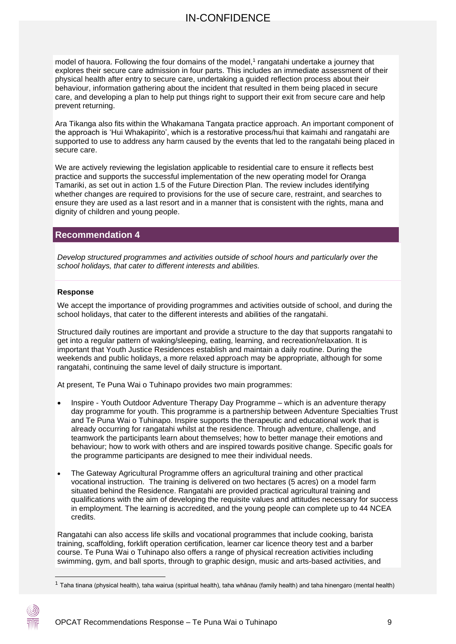model of hauora. Following the four domains of the model,<sup>1</sup> rangatahi undertake a journey that explores their secure care admission in four parts. This includes an immediate assessment of their physical health after entry to secure care, undertaking a guided reflection process about their behaviour, information gathering about the incident that resulted in them being placed in secure care, and developing a plan to help put things right to support their exit from secure care and help prevent returning.

Ara Tikanga also fits within the Whakamana Tangata practice approach. An important component of the approach is 'Hui Whakapirito', which is a restorative process/hui that kaimahi and rangatahi are supported to use to address any harm caused by the events that led to the rangatahi being placed in secure care.

We are actively reviewing the legislation applicable to residential care to ensure it reflects best practice and supports the successful implementation of the new operating model for Oranga Tamariki, as set out in action 1.5 of the Future Direction Plan. The review includes identifying whether changes are required to provisions for the use of secure care, restraint, and searches to ensure they are used as a last resort and in a manner that is consistent with the rights, mana and dignity of children and young people.

#### **Recommendation 4**

*Develop structured programmes and activities outside of school hours and particularly over the school holidays, that cater to different interests and abilities.*

#### **Response**

We accept the importance of providing programmes and activities outside of school, and during the school holidays, that cater to the different interests and abilities of the rangatahi.

Structured daily routines are important and provide a structure to the day that supports rangatahi to get into a regular pattern of waking/sleeping, eating, learning, and recreation/relaxation. It is important that Youth Justice Residences establish and maintain a daily routine. During the weekends and public holidays, a more relaxed approach may be appropriate, although for some rangatahi, continuing the same level of daily structure is important.

At present, Te Puna Wai o Tuhinapo provides two main programmes:

- Inspire Youth Outdoor Adventure Therapy Day Programme which is an adventure therapy day programme for youth. This programme is a partnership between Adventure Specialties Trust and Te Puna Wai o Tuhinapo. Inspire supports the therapeutic and educational work that is already occurring for rangatahi whilst at the residence. Through adventure, challenge, and teamwork the participants learn about themselves; how to better manage their emotions and behaviour; how to work with others and are inspired towards positive change. Specific goals for the programme participants are designed to mee their individual needs.
- The Gateway Agricultural Programme offers an agricultural training and other practical vocational instruction. The training is delivered on two hectares (5 acres) on a model farm situated behind the Residence. Rangatahi are provided practical agricultural training and qualifications with the aim of developing the requisite values and attitudes necessary for success in employment. The learning is accredited, and the young people can complete up to 44 NCEA credits.

Rangatahi can also access life skills and vocational programmes that include cooking, barista training, scaffolding, forklift operation certification, learner car licence theory test and a barber course. Te Puna Wai o Tuhinapo also offers a range of physical recreation activities including swimming, gym, and ball sports, through to graphic design, music and arts-based activities, and

 $1$  Taha tinana (physical health), taha wairua (spiritual health), taha whānau (family health) and taha hinengaro (mental health)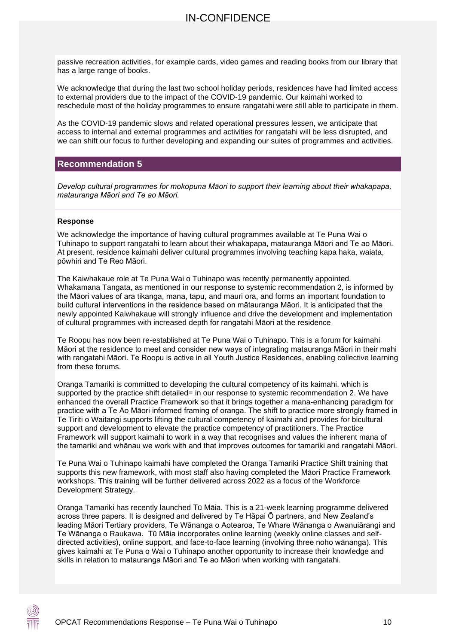passive recreation activities, for example cards, video games and reading books from our library that has a large range of books.

We acknowledge that during the last two school holiday periods, residences have had limited access to external providers due to the impact of the COVID-19 pandemic. Our kaimahi worked to reschedule most of the holiday programmes to ensure rangatahi were still able to participate in them.

As the COVID-19 pandemic slows and related operational pressures lessen, we anticipate that access to internal and external programmes and activities for rangatahi will be less disrupted, and we can shift our focus to further developing and expanding our suites of programmes and activities.

#### **Recommendation 5**

*Develop cultural programmes for mokopuna Māori to support their learning about their whakapapa, matauranga Māori and Te ao Māori.*

#### **Response**

We acknowledge the importance of having cultural programmes available at Te Puna Wai o Tuhinapo to support rangatahi to learn about their whakapapa, matauranga Māori and Te ao Māori. At present, residence kaimahi deliver cultural programmes involving teaching kapa haka, waiata, pōwhiri and Te Reo Māori.

The Kaiwhakaue role at Te Puna Wai o Tuhinapo was recently permanently appointed. Whakamana Tangata, as mentioned in our response to systemic recommendation 2, is informed by the Māori values of ara tikanga, mana, tapu, and mauri ora, and forms an important foundation to build cultural interventions in the residence based on mātauranga Māori. It is anticipated that the newly appointed Kaiwhakaue will strongly influence and drive the development and implementation of cultural programmes with increased depth for rangatahi Māori at the residence

Te Roopu has now been re-established at Te Puna Wai o Tuhinapo. This is a forum for kaimahi Māori at the residence to meet and consider new ways of integrating matauranga Māori in their mahi with rangatahi Māori. Te Roopu is active in all Youth Justice Residences, enabling collective learning from these forums.

Oranga Tamariki is committed to developing the cultural competency of its kaimahi, which is supported by the practice shift detailed= in our response to systemic recommendation 2. We have enhanced the overall Practice Framework so that it brings together a mana-enhancing paradigm for practice with a Te Ao Māori informed framing of oranga. The shift to practice more strongly framed in Te Tiriti o Waitangi supports lifting the cultural competency of kaimahi and provides for bicultural support and development to elevate the practice competency of practitioners. The Practice Framework will support kaimahi to work in a way that recognises and values the inherent mana of the tamariki and whānau we work with and that improves outcomes for tamariki and rangatahi Māori.

Te Puna Wai o Tuhinapo kaimahi have completed the Oranga Tamariki Practice Shift training that supports this new framework, with most staff also having completed the Māori Practice Framework workshops. This training will be further delivered across 2022 as a focus of the Workforce Development Strategy.

Oranga Tamariki has recently launched Tū Māia. This is a 21-week learning programme delivered across three papers. It is designed and delivered by Te Hāpai Ō partners, and New Zealand's leading Māori Tertiary providers, Te Wānanga o Aotearoa, Te Whare Wānanga o Awanuiārangi and Te Wānanga o Raukawa. Tū Māia incorporates online learning (weekly online classes and selfdirected activities), online support, and face-to-face learning (involving three noho wānanga). This gives kaimahi at Te Puna o Wai o Tuhinapo another opportunity to increase their knowledge and skills in relation to matauranga Māori and Te ao Māori when working with rangatahi.